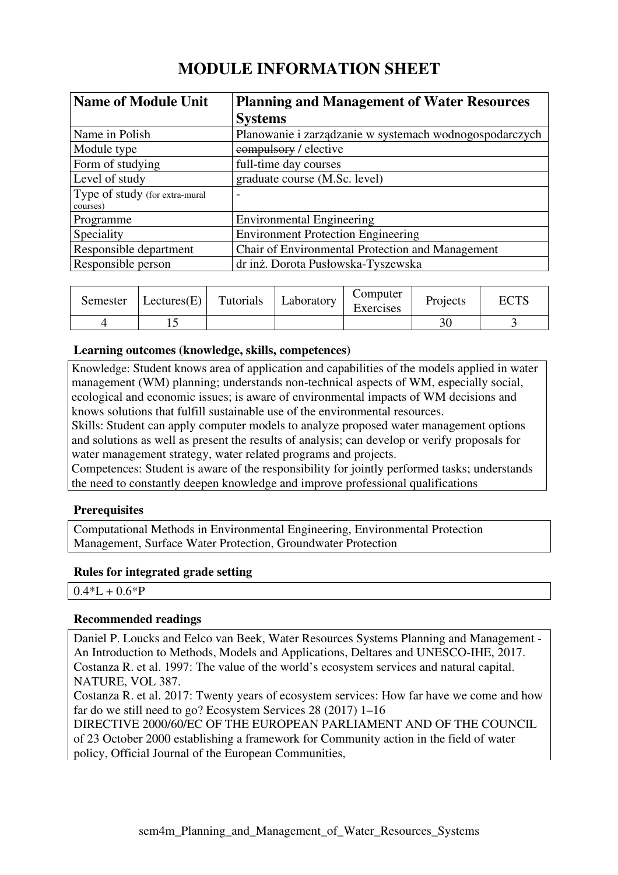# **MODULE INFORMATION SHEET**

| <b>Name of Module Unit</b>     | <b>Planning and Management of Water Resources</b>       |
|--------------------------------|---------------------------------------------------------|
|                                | <b>Systems</b>                                          |
| Name in Polish                 | Planowanie i zarządzanie w systemach wodnogospodarczych |
| Module type                    | compulsory / elective                                   |
| Form of studying               | full-time day courses                                   |
| Level of study                 | graduate course (M.Sc. level)                           |
| Type of study (for extra-mural | $\overline{\phantom{0}}$                                |
| courses)                       |                                                         |
| Programme                      | <b>Environmental Engineering</b>                        |
| Speciality                     | <b>Environment Protection Engineering</b>               |
| Responsible department         | Chair of Environmental Protection and Management        |
| Responsible person             | dr inż. Dorota Pusłowska-Tyszewska                      |

| Semester | $ \text{Lectures}(E) $ | Tutorials | Laboratory | Computer<br>Exercises | Projects | <b>ECTS</b> |
|----------|------------------------|-----------|------------|-----------------------|----------|-------------|
|          |                        |           |            |                       | 30       |             |

# **Learning outcomes (knowledge, skills, competences)**

Knowledge: Student knows area of application and capabilities of the models applied in water management (WM) planning; understands non-technical aspects of WM, especially social, ecological and economic issues; is aware of environmental impacts of WM decisions and knows solutions that fulfill sustainable use of the environmental resources.

Skills: Student can apply computer models to analyze proposed water management options and solutions as well as present the results of analysis; can develop or verify proposals for water management strategy, water related programs and projects.

Competences: Student is aware of the responsibility for jointly performed tasks; understands the need to constantly deepen knowledge and improve professional qualifications

# **Prerequisites**

Computational Methods in Environmental Engineering, Environmental Protection Management, Surface Water Protection, Groundwater Protection

#### **Rules for integrated grade setting**

# **Recommended readings**

Daniel P. Loucks and Eelco van Beek, Water Resources Systems Planning and Management - An Introduction to Methods, Models and Applications, Deltares and UNESCO-IHE, 2017. Costanza R. et al. 1997: The value of the world's ecosystem services and natural capital. NATURE, VOL 387.

Costanza R. et al. 2017: Twenty years of ecosystem services: How far have we come and how far do we still need to go? Ecosystem Services 28 (2017) 1–16

DIRECTIVE 2000/60/EC OF THE EUROPEAN PARLIAMENT AND OF THE COUNCIL of 23 October 2000 establishing a framework for Community action in the field of water policy, Official Journal of the European Communities,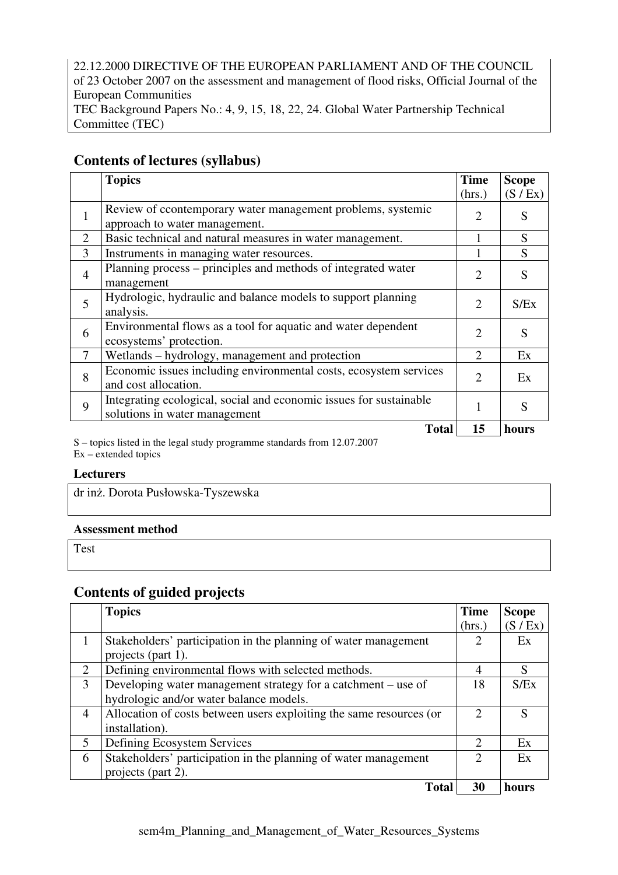22.12.2000 DIRECTIVE OF THE EUROPEAN PARLIAMENT AND OF THE COUNCIL of 23 October 2007 on the assessment and management of flood risks, Official Journal of the European Communities TEC Background Papers No.: 4, 9, 15, 18, 22, 24. Global Water Partnership Technical Committee (TEC)

# **Contents of lectures (syllabus)**

|                | <b>Topics</b>                                                                                       | <b>Time</b>           | <b>Scope</b> |
|----------------|-----------------------------------------------------------------------------------------------------|-----------------------|--------------|
|                |                                                                                                     | (hrs.)                | (S / Ex)     |
| 1              | Review of ccontemporary water management problems, systemic<br>approach to water management.        | $\mathcal{D}_{\cdot}$ | S            |
| $\overline{2}$ | Basic technical and natural measures in water management.                                           |                       | S            |
| 3              | Instruments in managing water resources.                                                            |                       | S            |
| $\overline{4}$ | Planning process – principles and methods of integrated water<br>management                         | $\mathfrak{D}$        | S            |
| 5              | Hydrologic, hydraulic and balance models to support planning<br>analysis.                           | $\mathcal{D}_{\cdot}$ | S/Ex         |
| 6              | Environmental flows as a tool for aquatic and water dependent<br>ecosystems' protection.            | $\overline{2}$        | S            |
| 7              | Wetlands – hydrology, management and protection                                                     | $\overline{2}$        | Ex           |
| 8              | Economic issues including environmental costs, ecosystem services<br>and cost allocation.           | $\mathfrak{D}$        | Ex           |
| 9              | Integrating ecological, social and economic issues for sustainable<br>solutions in water management |                       | S            |
|                | <b>Total</b>                                                                                        | 15                    | hours        |

S – topics listed in the legal study programme standards from 12.07.2007 Ex – extended topics

#### **Lecturers**

dr inż. Dorota Pusłowska-Tyszewska

#### **Assessment method**

Test

# **Contents of guided projects**

|                             | <b>Topics</b>                                                       | <b>Time</b>                 | <b>Scope</b> |
|-----------------------------|---------------------------------------------------------------------|-----------------------------|--------------|
|                             |                                                                     | (hrs.)                      | (S / Ex)     |
|                             | Stakeholders' participation in the planning of water management     |                             | Ex           |
|                             | projects (part 1).                                                  |                             |              |
| $\mathcal{D}_{\mathcal{L}}$ | Defining environmental flows with selected methods.                 | 4                           | S            |
| 3                           | Developing water management strategy for a catchment – use of       | 18                          | S/Ex         |
|                             | hydrologic and/or water balance models.                             |                             |              |
| $\overline{4}$              | Allocation of costs between users exploiting the same resources (or | $\mathcal{D}$               | S            |
|                             | installation).                                                      |                             |              |
| 5                           | Defining Ecosystem Services                                         | $\mathcal{D}_{\mathcal{L}}$ | Ex           |
| 6                           | Stakeholders' participation in the planning of water management     | $\mathcal{D}_{\mathcal{L}}$ | Ex           |
|                             | projects (part 2).                                                  |                             |              |
|                             | <b>Total</b>                                                        | 30                          | hours        |